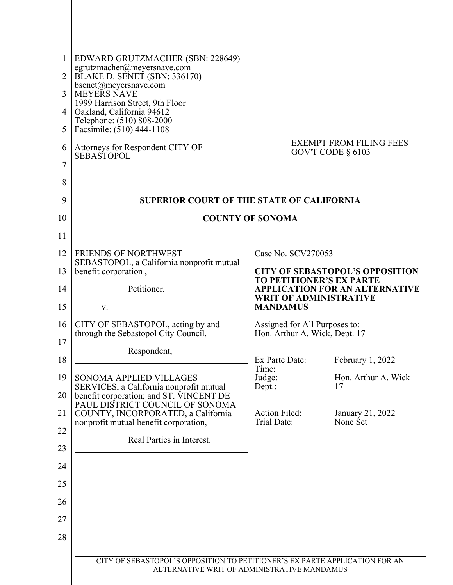| 1<br>2<br>3<br>4<br>5<br>6<br>7<br>8 | EDWARD GRUTZMACHER (SBN: 228649)<br>egrutzmacher@meyersnave.com<br>BLAKE D. SENET (SBN: 336170)<br>bsenet@meyersnave.com<br><b>MEYERS NAVE</b><br>1999 Harrison Street, 9th Floor<br>Oakland, California 94612<br>Telephone: (510) 808-2000<br>Facsimile: (510) 444-1108<br>Attorneys for Respondent CITY OF<br><b>SEBASTOPOL</b> |                                                                                                                                                     | <b>EXEMPT FROM FILING FEES</b><br>GOV'T CODE $\S$ 6103 |  |
|--------------------------------------|-----------------------------------------------------------------------------------------------------------------------------------------------------------------------------------------------------------------------------------------------------------------------------------------------------------------------------------|-----------------------------------------------------------------------------------------------------------------------------------------------------|--------------------------------------------------------|--|
| 9                                    | <b>SUPERIOR COURT OF THE STATE OF CALIFORNIA</b>                                                                                                                                                                                                                                                                                  |                                                                                                                                                     |                                                        |  |
| 10                                   | <b>COUNTY OF SONOMA</b>                                                                                                                                                                                                                                                                                                           |                                                                                                                                                     |                                                        |  |
| 11                                   |                                                                                                                                                                                                                                                                                                                                   |                                                                                                                                                     |                                                        |  |
| 12                                   | <b>FRIENDS OF NORTHWEST</b><br>SEBASTOPOL, a California nonprofit mutual                                                                                                                                                                                                                                                          | Case No. SCV270053                                                                                                                                  |                                                        |  |
| 13                                   | benefit corporation,                                                                                                                                                                                                                                                                                                              | <b>CITY OF SEBASTOPOL'S OPPOSITION</b><br><b>TO PETITIONER'S EX PARTE</b><br><b>APPLICATION FOR AN ALTERNATIVE</b><br><b>WRIT OF ADMINISTRATIVE</b> |                                                        |  |
| 14                                   | Petitioner,                                                                                                                                                                                                                                                                                                                       |                                                                                                                                                     |                                                        |  |
| 15                                   | V.                                                                                                                                                                                                                                                                                                                                | <b>MANDAMUS</b>                                                                                                                                     |                                                        |  |
| 16                                   | CITY OF SEBASTOPOL, acting by and<br>through the Sebastopol City Council,                                                                                                                                                                                                                                                         | Assigned for All Purposes to:<br>Hon. Arthur A. Wick, Dept. 17                                                                                      |                                                        |  |
| 17                                   | Respondent,                                                                                                                                                                                                                                                                                                                       |                                                                                                                                                     |                                                        |  |
| 18                                   |                                                                                                                                                                                                                                                                                                                                   | Ex Parte Date:<br>Time:<br>Judge:<br>Dept.:                                                                                                         | February 1, 2022                                       |  |
| 19                                   | SONOMA APPLIED VILLAGES<br>SERVICES, a California nonprofit mutual                                                                                                                                                                                                                                                                |                                                                                                                                                     | Hon. Arthur A. Wick<br>17                              |  |
| 20                                   | benefit corporation; and ST. VINCENT DE<br>PAUL DISTRICT COUNCIL OF SONOMA                                                                                                                                                                                                                                                        |                                                                                                                                                     |                                                        |  |
| 21                                   | COUNTY, INCORPORATED, a California<br>nonprofit mutual benefit corporation,                                                                                                                                                                                                                                                       | <b>Action Filed:</b><br><b>Trial Date:</b>                                                                                                          | January 21, 2022<br>None Set                           |  |
| 22                                   | Real Parties in Interest.                                                                                                                                                                                                                                                                                                         |                                                                                                                                                     |                                                        |  |
| 23<br>24                             |                                                                                                                                                                                                                                                                                                                                   |                                                                                                                                                     |                                                        |  |
| 25                                   |                                                                                                                                                                                                                                                                                                                                   |                                                                                                                                                     |                                                        |  |
| 26                                   |                                                                                                                                                                                                                                                                                                                                   |                                                                                                                                                     |                                                        |  |
| 27                                   |                                                                                                                                                                                                                                                                                                                                   |                                                                                                                                                     |                                                        |  |
| 28                                   |                                                                                                                                                                                                                                                                                                                                   |                                                                                                                                                     |                                                        |  |
|                                      |                                                                                                                                                                                                                                                                                                                                   |                                                                                                                                                     |                                                        |  |
|                                      | CITY OF SEBASTOPOL'S OPPOSITION TO PETITIONER'S EX PARTE APPLICATION FOR AN<br>ALTERNATIVE WRIT OF ADMINISTRATIVE MANDAMUS                                                                                                                                                                                                        |                                                                                                                                                     |                                                        |  |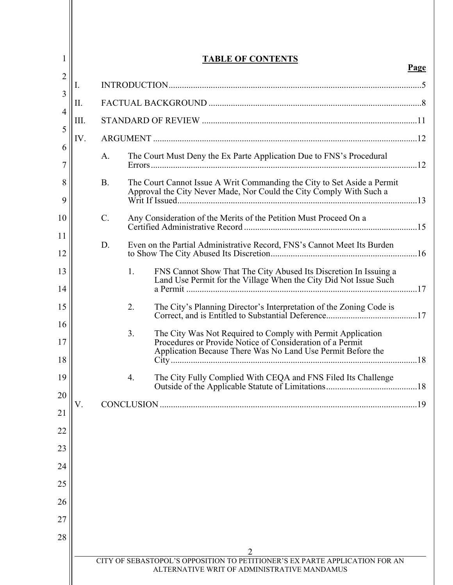|      |           |    | <b>TABLE OF CONTENTS</b>                                                                                                                                                                |
|------|-----------|----|-----------------------------------------------------------------------------------------------------------------------------------------------------------------------------------------|
| I.   |           |    |                                                                                                                                                                                         |
| Π.   |           |    |                                                                                                                                                                                         |
| III. |           |    |                                                                                                                                                                                         |
| IV.  |           |    |                                                                                                                                                                                         |
|      | A.        |    | The Court Must Deny the Ex Parte Application Due to FNS's Procedural                                                                                                                    |
|      | <b>B.</b> |    | The Court Cannot Issue A Writ Commanding the City to Set Aside a Permit<br>Approval the City Never Made, Nor Could the City Comply With Such a                                          |
|      | C.        |    | Any Consideration of the Merits of the Petition Must Proceed On a                                                                                                                       |
|      | D.        |    | Even on the Partial Administrative Record, FNS's Cannot Meet Its Burden                                                                                                                 |
|      |           | 1. | FNS Cannot Show That The City Abused Its Discretion In Issuing a<br>Land Use Permit for the Village When the City Did Not Issue Such                                                    |
|      |           | 2. | The City's Planning Director's Interpretation of the Zoning Code is                                                                                                                     |
|      |           | 3. | The City Was Not Required to Comply with Permit Application<br>Procedures or Provide Notice of Consideration of a Permit<br>Application Because There Was No Land Use Permit Before the |
|      |           | 4. | The City Fully Complied With CEQA and FNS Filed Its Challenge                                                                                                                           |
| V.   |           |    |                                                                                                                                                                                         |
|      |           |    |                                                                                                                                                                                         |
|      |           |    |                                                                                                                                                                                         |
|      |           |    |                                                                                                                                                                                         |
|      |           |    |                                                                                                                                                                                         |
|      |           |    |                                                                                                                                                                                         |
|      |           |    |                                                                                                                                                                                         |
|      |           |    |                                                                                                                                                                                         |
|      |           |    |                                                                                                                                                                                         |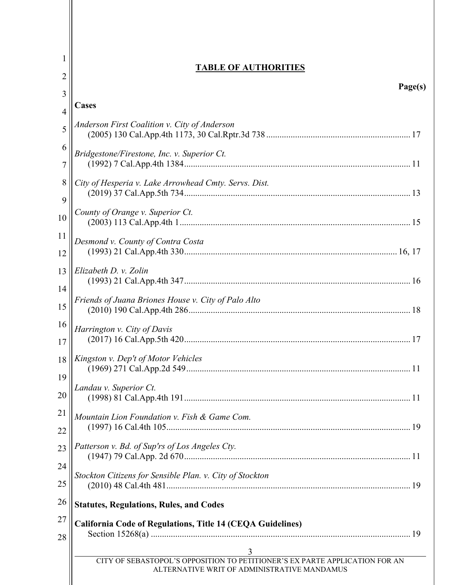| 1              | <b>TABLE OF AUTHORITIES</b>                                                                                                |  |  |  |
|----------------|----------------------------------------------------------------------------------------------------------------------------|--|--|--|
| $\overline{c}$ | Page(s)                                                                                                                    |  |  |  |
| 3              | <b>Cases</b>                                                                                                               |  |  |  |
| $\overline{4}$ |                                                                                                                            |  |  |  |
| 5              | Anderson First Coalition v. City of Anderson                                                                               |  |  |  |
| 6              | Bridgestone/Firestone, Inc. v. Superior Ct.                                                                                |  |  |  |
| 7              |                                                                                                                            |  |  |  |
| 8              | City of Hesperia v. Lake Arrowhead Cmty. Servs. Dist.                                                                      |  |  |  |
| 9              |                                                                                                                            |  |  |  |
| 10             | County of Orange v. Superior Ct.                                                                                           |  |  |  |
| 11             |                                                                                                                            |  |  |  |
| 12             | Desmond v. County of Contra Costa                                                                                          |  |  |  |
| 13             | Elizabeth D. v. Zolin                                                                                                      |  |  |  |
|                |                                                                                                                            |  |  |  |
| 14             | Friends of Juana Briones House v. City of Palo Alto                                                                        |  |  |  |
| 15             |                                                                                                                            |  |  |  |
| 16             | Harrington v. City of Davis                                                                                                |  |  |  |
| 17             |                                                                                                                            |  |  |  |
| 18             | Kingston v. Dep't of Motor Vehicles                                                                                        |  |  |  |
| 19             | 11                                                                                                                         |  |  |  |
|                | Landau v. Superior Ct.                                                                                                     |  |  |  |
| 20             |                                                                                                                            |  |  |  |
| 21             | Mountain Lion Foundation v. Fish & Game Com.                                                                               |  |  |  |
| 22             |                                                                                                                            |  |  |  |
| 23             | Patterson v. Bd. of Sup'rs of Los Angeles Cty.                                                                             |  |  |  |
| 24             |                                                                                                                            |  |  |  |
|                | Stockton Citizens for Sensible Plan. v. City of Stockton                                                                   |  |  |  |
| 25             |                                                                                                                            |  |  |  |
| 26             | <b>Statutes, Regulations, Rules, and Codes</b>                                                                             |  |  |  |
| 27             | California Code of Regulations, Title 14 (CEQA Guidelines)                                                                 |  |  |  |
| 28             |                                                                                                                            |  |  |  |
|                | 3                                                                                                                          |  |  |  |
|                | CITY OF SEBASTOPOL'S OPPOSITION TO PETITIONER'S EX PARTE APPLICATION FOR AN<br>ALTERNATIVE WRIT OF ADMINISTRATIVE MANDAMUS |  |  |  |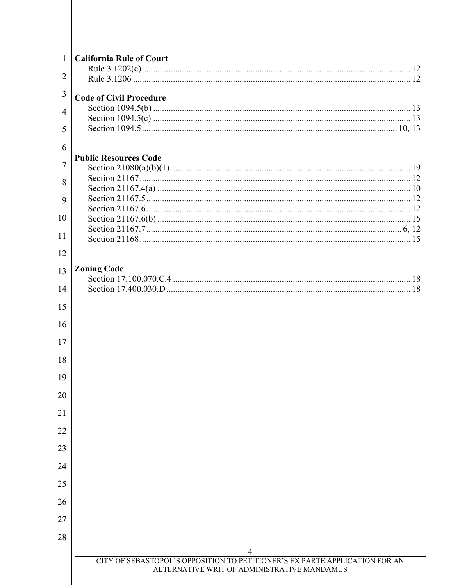| $\mathbf{1}$   | <b>California Rule of Court</b>                                                  |
|----------------|----------------------------------------------------------------------------------|
| 2              |                                                                                  |
| 3              |                                                                                  |
|                | <b>Code of Civil Procedure</b>                                                   |
| $\overline{4}$ |                                                                                  |
| 5              |                                                                                  |
| 6              |                                                                                  |
| $\overline{7}$ | <b>Public Resources Code</b>                                                     |
|                |                                                                                  |
| 8              |                                                                                  |
| 9              |                                                                                  |
| 10             |                                                                                  |
|                |                                                                                  |
| 11             |                                                                                  |
| 12             |                                                                                  |
| 13             | <b>Zoning Code</b>                                                               |
|                |                                                                                  |
| 14             |                                                                                  |
| 15             |                                                                                  |
| 16             |                                                                                  |
| 17             |                                                                                  |
| 18             |                                                                                  |
|                |                                                                                  |
| 19             |                                                                                  |
| 20             |                                                                                  |
| 21             |                                                                                  |
| 22             |                                                                                  |
| 23             |                                                                                  |
| 24             |                                                                                  |
| 25             |                                                                                  |
| 26             |                                                                                  |
|                |                                                                                  |
| 27             |                                                                                  |
| 28             |                                                                                  |
|                | 4<br>CITY OF SEBASTOPOL'S OPPOSITION TO PETITIONER'S EX PARTE APPLICATION FOR AN |
|                | ALTERNATIVE WRIT OF ADMINISTRATIVE MANDAMUS                                      |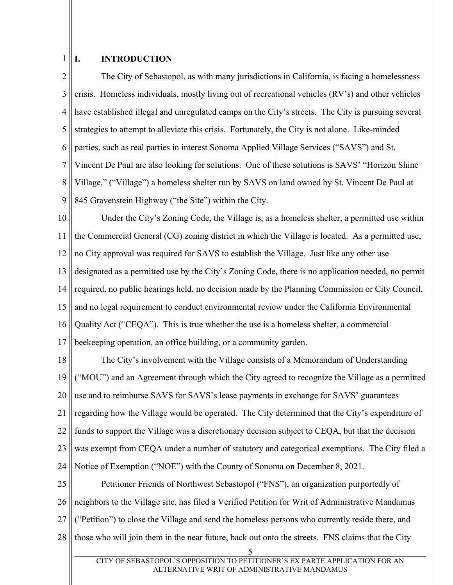#### 1 **I. INTRODUCTION**

2 3 4 5 6 7 8 9 The City of Sebastopol, as with many jurisdictions in California, is facing a homelessness crisis. Homeless individuals, mostly living out of recreational vehicles (RV's) and other vehicles have established illegal and unregulated camps on the City's streets. The City is pursuing several strategies to attempt to alleviate this crisis. Fortunately, the City is not alone. Like-minded parties, such as real parties in interest Sonoma Applied Village Services ("SAVS") and St. Vincent De Paul are also looking for solutions. One of these solutions is SAVS' "Horizon Shine Village," ("Village") a homeless shelter run by SAVS on land owned by St. Vincent De Paul at 845 Gravenstein Highway ("the Site") within the City.

10 11 12 13 14 15 16 17 Under the City's Zoning Code, the Village is, as a homeless shelter, a permitted use within the Commercial General (CG) zoning district in which the Village is located. As a permitted use, no City approval was required for SAVS to establish the Village. Just like any other use designated as a permitted use by the City's Zoning Code, there is no application needed, no permit required, no public hearings held, no decision made by the Planning Commission or City Council, and no legal requirement to conduct environmental review under the California Environmental Quality Act ("CEQA"). This is true whether the use is a homeless shelter, a commercial beekeeping operation, an office building, or a community garden.

18 19 20 21 22 23 24 The City's involvement with the Village consists of a Memorandum of Understanding ("MOU") and an Agreement through which the City agreed to recognize the Village as a permitted use and to reimburse SAVS for SAVS's lease payments in exchange for SAVS' guarantees regarding how the Village would be operated. The City determined that the City's expenditure of funds to support the Village was a discretionary decision subject to CEQA, but that the decision was exempt from CEQA under a number of statutory and categorical exemptions. The City filed a Notice of Exemption ("NOE") with the County of Sonoma on December 8, 2021.

25 26 27 28 Petitioner Friends of Northwest Sebastopol ("FNS"), an organization purportedly of neighbors to the Village site, has filed a Verified Petition for Writ of Administrative Mandamus ("Petition") to close the Village and send the homeless persons who currently reside there, and those who will join them in the near future, back out onto the streets. FNS claims that the City

<sup>5</sup>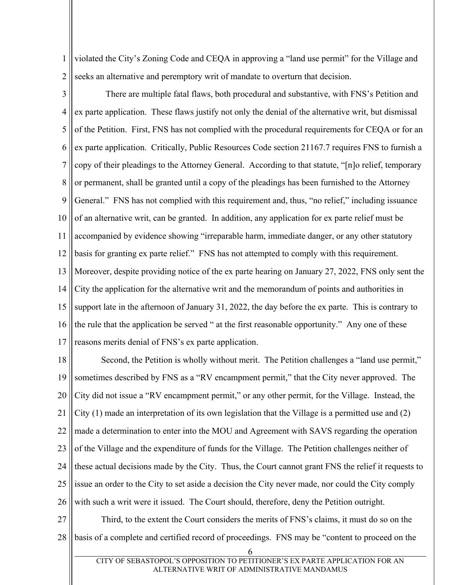1 2 violated the City's Zoning Code and CEQA in approving a "land use permit" for the Village and seeks an alternative and peremptory writ of mandate to overturn that decision.

3 4 5 6 7 8 9 10 11 12 13 14 15 16 17 There are multiple fatal flaws, both procedural and substantive, with FNS's Petition and ex parte application. These flaws justify not only the denial of the alternative writ, but dismissal of the Petition. First, FNS has not complied with the procedural requirements for CEQA or for an ex parte application. Critically, Public Resources Code section 21167.7 requires FNS to furnish a copy of their pleadings to the Attorney General. According to that statute, "[n]o relief, temporary or permanent, shall be granted until a copy of the pleadings has been furnished to the Attorney General." FNS has not complied with this requirement and, thus, "no relief," including issuance of an alternative writ, can be granted. In addition, any application for ex parte relief must be accompanied by evidence showing "irreparable harm, immediate danger, or any other statutory basis for granting ex parte relief." FNS has not attempted to comply with this requirement. Moreover, despite providing notice of the ex parte hearing on January 27, 2022, FNS only sent the City the application for the alternative writ and the memorandum of points and authorities in support late in the afternoon of January 31, 2022, the day before the ex parte. This is contrary to the rule that the application be served " at the first reasonable opportunity." Any one of these reasons merits denial of FNS's ex parte application.

18 19 20 21 22 23 24 25 26 Second, the Petition is wholly without merit. The Petition challenges a "land use permit," sometimes described by FNS as a "RV encampment permit," that the City never approved. The City did not issue a "RV encampment permit," or any other permit, for the Village. Instead, the City (1) made an interpretation of its own legislation that the Village is a permitted use and (2) made a determination to enter into the MOU and Agreement with SAVS regarding the operation of the Village and the expenditure of funds for the Village. The Petition challenges neither of these actual decisions made by the City. Thus, the Court cannot grant FNS the relief it requests to issue an order to the City to set aside a decision the City never made, nor could the City comply with such a writ were it issued. The Court should, therefore, deny the Petition outright.

27 28 Third, to the extent the Court considers the merits of FNS's claims, it must do so on the basis of a complete and certified record of proceedings. FNS may be "content to proceed on the

<sup>6</sup>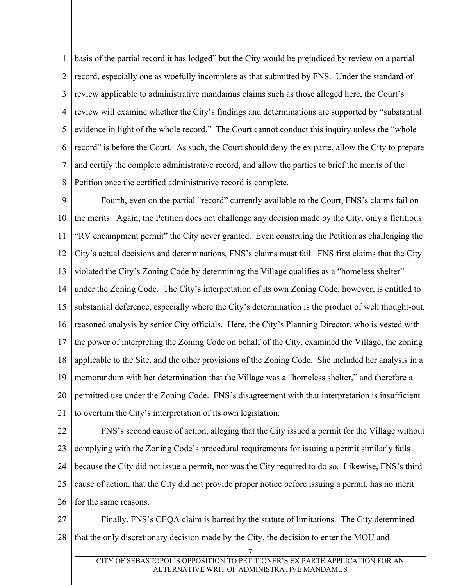1 2 3 4 5 6 7 8 basis of the partial record it has lodged" but the City would be prejudiced by review on a partial record, especially one as woefully incomplete as that submitted by FNS. Under the standard of review applicable to administrative mandamus claims such as those alleged here, the Court's review will examine whether the City's findings and determinations are supported by "substantial evidence in light of the whole record." The Court cannot conduct this inquiry unless the "whole record" is before the Court. As such, the Court should deny the ex parte, allow the City to prepare and certify the complete administrative record, and allow the parties to brief the merits of the Petition once the certified administrative record is complete.

9 10 11 12 13 14 15 16 17 18 19 20 21 Fourth, even on the partial "record" currently available to the Court, FNS's claims fail on the merits. Again, the Petition does not challenge any decision made by the City, only a fictitious "RV encampment permit" the City never granted. Even construing the Petition as challenging the City's actual decisions and determinations, FNS's claims must fail. FNS first claims that the City violated the City's Zoning Code by determining the Village qualifies as a "homeless shelter" under the Zoning Code. The City's interpretation of its own Zoning Code, however, is entitled to substantial deference, especially where the City's determination is the product of well thought-out, reasoned analysis by senior City officials. Here, the City's Planning Director, who is vested with the power of interpreting the Zoning Code on behalf of the City, examined the Village, the zoning applicable to the Site, and the other provisions of the Zoning Code. She included her analysis in a memorandum with her determination that the Village was a "homeless shelter," and therefore a permitted use under the Zoning Code. FNS's disagreement with that interpretation is insufficient to overturn the City's interpretation of its own legislation.

22 23 24 25 26 FNS's second cause of action, alleging that the City issued a permit for the Village without complying with the Zoning Code's procedural requirements for issuing a permit similarly fails because the City did not issue a permit, nor was the City required to do so. Likewise, FNS's third cause of action, that the City did not provide proper notice before issuing a permit, has no merit for the same reasons.

27 28 Finally, FNS's CEQA claim is barred by the statute of limitations. The City determined that the only discretionary decision made by the City, the decision to enter the MOU and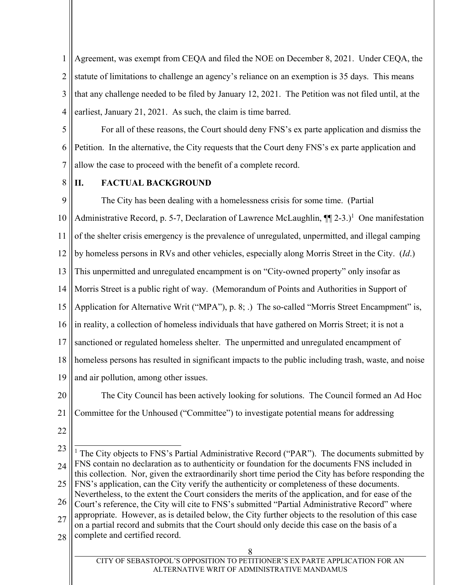1 2 3 4 Agreement, was exempt from CEQA and filed the NOE on December 8, 2021. Under CEQA, the statute of limitations to challenge an agency's reliance on an exemption is 35 days. This means that any challenge needed to be filed by January 12, 2021. The Petition was not filed until, at the earliest, January 21, 2021. As such, the claim is time barred.

5 6 7 For all of these reasons, the Court should deny FNS's ex parte application and dismiss the Petition. In the alternative, the City requests that the Court deny FNS's ex parte application and allow the case to proceed with the benefit of a complete record.

8

## **II. FACTUAL BACKGROUND**

9 10 11 12 13 14 15 16 17 18 19 The City has been dealing with a homelessness crisis for some time. (Partial Administrative Record, p. 5-7, Declaration of Lawrence McLaughlin,  $\P$ [2-3.)<sup>1</sup> One manifestation of the shelter crisis emergency is the prevalence of unregulated, unpermitted, and illegal camping by homeless persons in RVs and other vehicles, especially along Morris Street in the City. (*Id*.) This unpermitted and unregulated encampment is on "City-owned property" only insofar as Morris Street is a public right of way. (Memorandum of Points and Authorities in Support of Application for Alternative Writ ("MPA"), p. 8; .) The so-called "Morris Street Encampment" is, in reality, a collection of homeless individuals that have gathered on Morris Street; it is not a sanctioned or regulated homeless shelter. The unpermitted and unregulated encampment of homeless persons has resulted in significant impacts to the public including trash, waste, and noise and air pollution, among other issues.

20 21 The City Council has been actively looking for solutions. The Council formed an Ad Hoc Committee for the Unhoused ("Committee") to investigate potential means for addressing

- 22
- 23 24 25 26 27 28 8  $\overline{\phantom{a}}$ <sup>1</sup> The City objects to FNS's Partial Administrative Record ("PAR"). The documents submitted by FNS contain no declaration as to authenticity or foundation for the documents FNS included in this collection. Nor, given the extraordinarily short time period the City has before responding the FNS's application, can the City verify the authenticity or completeness of these documents. Nevertheless, to the extent the Court considers the merits of the application, and for ease of the Court's reference, the City will cite to FNS's submitted "Partial Administrative Record" where appropriate. However, as is detailed below, the City further objects to the resolution of this case on a partial record and submits that the Court should only decide this case on the basis of a complete and certified record.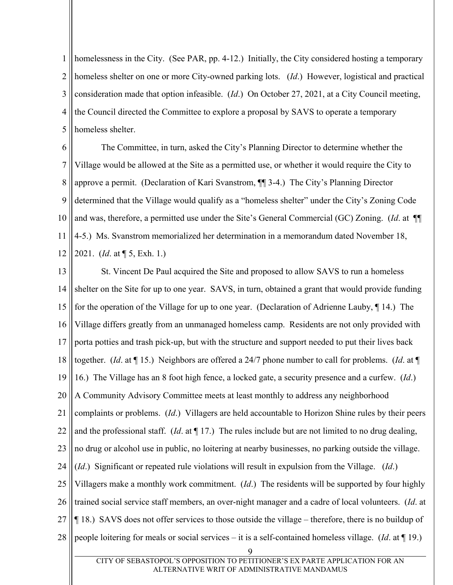1 2 3 4 5 homelessness in the City. (See PAR, pp. 4-12.) Initially, the City considered hosting a temporary homeless shelter on one or more City-owned parking lots. (*Id*.) However, logistical and practical consideration made that option infeasible. (*Id*.) On October 27, 2021, at a City Council meeting, the Council directed the Committee to explore a proposal by SAVS to operate a temporary homeless shelter.

6 7 8 9 10 11 12 The Committee, in turn, asked the City's Planning Director to determine whether the Village would be allowed at the Site as a permitted use, or whether it would require the City to approve a permit. (Declaration of Kari Svanstrom, ¶¶ 3-4.) The City's Planning Director determined that the Village would qualify as a "homeless shelter" under the City's Zoning Code and was, therefore, a permitted use under the Site's General Commercial (GC) Zoning. (*Id*. at ¶¶ 4-5.) Ms. Svanstrom memorialized her determination in a memorandum dated November 18, 2021. (*Id*. at ¶ 5, Exh. 1.)

13 14 15 16 17 18 19 20 21 22 23 24 25 26 27 28 9 St. Vincent De Paul acquired the Site and proposed to allow SAVS to run a homeless shelter on the Site for up to one year. SAVS, in turn, obtained a grant that would provide funding for the operation of the Village for up to one year. (Declaration of Adrienne Lauby, ¶ 14.) The Village differs greatly from an unmanaged homeless camp. Residents are not only provided with porta potties and trash pick-up, but with the structure and support needed to put their lives back together. (*Id*. at ¶ 15.) Neighbors are offered a 24/7 phone number to call for problems. (*Id*. at ¶ 16.) The Village has an 8 foot high fence, a locked gate, a security presence and a curfew. (*Id*.) A Community Advisory Committee meets at least monthly to address any neighborhood complaints or problems. (*Id*.) Villagers are held accountable to Horizon Shine rules by their peers and the professional staff. (*Id*. at ¶ 17.) The rules include but are not limited to no drug dealing, no drug or alcohol use in public, no loitering at nearby businesses, no parking outside the village. (*Id*.) Significant or repeated rule violations will result in expulsion from the Village. (*Id*.) Villagers make a monthly work commitment. (*Id*.) The residents will be supported by four highly trained social service staff members, an over-night manager and a cadre of local volunteers. (*Id*. at ¶ 18.) SAVS does not offer services to those outside the village – therefore, there is no buildup of people loitering for meals or social services – it is a self-contained homeless village. (*Id*. at ¶ 19.)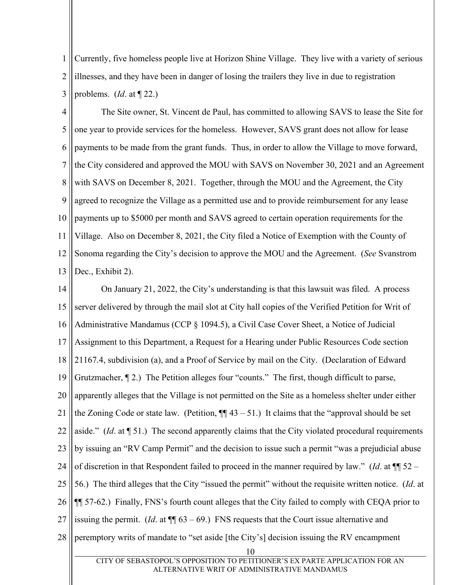1 2 3 Currently, five homeless people live at Horizon Shine Village. They live with a variety of serious illnesses, and they have been in danger of losing the trailers they live in due to registration problems. (*Id*. at ¶ 22.)

4 5 6 7 8 9 10 11 12 13 The Site owner, St. Vincent de Paul, has committed to allowing SAVS to lease the Site for one year to provide services for the homeless. However, SAVS grant does not allow for lease payments to be made from the grant funds. Thus, in order to allow the Village to move forward, the City considered and approved the MOU with SAVS on November 30, 2021 and an Agreement with SAVS on December 8, 2021. Together, through the MOU and the Agreement, the City agreed to recognize the Village as a permitted use and to provide reimbursement for any lease payments up to \$5000 per month and SAVS agreed to certain operation requirements for the Village. Also on December 8, 2021, the City filed a Notice of Exemption with the County of Sonoma regarding the City's decision to approve the MOU and the Agreement. (*See* Svanstrom Dec., Exhibit 2).

14 15 16 17 18 19 20 21 22 23 24 25 26 27 28 10 On January 21, 2022, the City's understanding is that this lawsuit was filed. A process server delivered by through the mail slot at City hall copies of the Verified Petition for Writ of Administrative Mandamus (CCP § 1094.5), a Civil Case Cover Sheet, a Notice of Judicial Assignment to this Department, a Request for a Hearing under Public Resources Code section 21167.4, subdivision (a), and a Proof of Service by mail on the City. (Declaration of Edward Grutzmacher, ¶ 2.) The Petition alleges four "counts." The first, though difficult to parse, apparently alleges that the Village is not permitted on the Site as a homeless shelter under either the Zoning Code or state law. (Petition,  $\P$  $[$ 43 – 51.) It claims that the "approval should be set aside." (*Id*. at ¶ 51.) The second apparently claims that the City violated procedural requirements by issuing an "RV Camp Permit" and the decision to issue such a permit "was a prejudicial abuse of discretion in that Respondent failed to proceed in the manner required by law." (*Id*. at ¶¶ 52 – 56.) The third alleges that the City "issued the permit" without the requisite written notice. (*Id*. at ¶¶ 57-62.) Finally, FNS's fourth count alleges that the City failed to comply with CEQA prior to issuing the permit. (*Id.* at  $\P$  $[63 - 69$ .) FNS requests that the Court issue alternative and peremptory writs of mandate to "set aside [the City's] decision issuing the RV encampment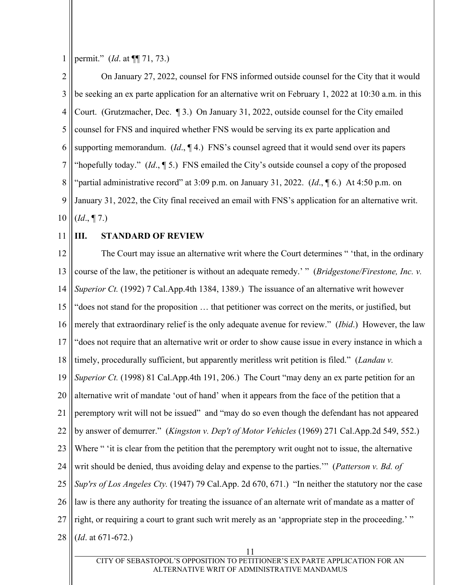1 permit." (*Id*. at ¶¶ 71, 73.)

2 3 4 5 6 7 8 9 10 On January 27, 2022, counsel for FNS informed outside counsel for the City that it would be seeking an ex parte application for an alternative writ on February 1, 2022 at 10:30 a.m. in this Court. (Grutzmacher, Dec. ¶ 3.) On January 31, 2022, outside counsel for the City emailed counsel for FNS and inquired whether FNS would be serving its ex parte application and supporting memorandum. (*Id*., ¶ 4.) FNS's counsel agreed that it would send over its papers "hopefully today." (*Id*., ¶ 5.) FNS emailed the City's outside counsel a copy of the proposed "partial administrative record" at 3:09 p.m. on January 31, 2022. (*Id.*, 16.) At 4:50 p.m. on January 31, 2022, the City final received an email with FNS's application for an alternative writ. (*Id*., ¶ 7.)

11

# **III. STANDARD OF REVIEW**

12 13 14 15 16 17 18 19 20 21 22 23 24 25 26 27 28 The Court may issue an alternative writ where the Court determines " 'that, in the ordinary course of the law, the petitioner is without an adequate remedy.' " (*Bridgestone/Firestone, Inc. v. Superior Ct.* (1992) 7 Cal.App.4th 1384, 1389.) The issuance of an alternative writ however "does not stand for the proposition … that petitioner was correct on the merits, or justified, but merely that extraordinary relief is the only adequate avenue for review." (*Ibid*.) However, the law "does not require that an alternative writ or order to show cause issue in every instance in which a timely, procedurally sufficient, but apparently meritless writ petition is filed." (*Landau v. Superior Ct.* (1998) 81 Cal.App.4th 191, 206.) The Court "may deny an ex parte petition for an alternative writ of mandate 'out of hand' when it appears from the face of the petition that a peremptory writ will not be issued" and "may do so even though the defendant has not appeared by answer of demurrer." (*Kingston v. Dep't of Motor Vehicles* (1969) 271 Cal.App.2d 549, 552.) Where " 'it is clear from the petition that the peremptory writ ought not to issue, the alternative writ should be denied, thus avoiding delay and expense to the parties.'" (*Patterson v. Bd. of Sup'rs of Los Angeles Cty.* (1947) 79 Cal.App. 2d 670, 671.) "In neither the statutory nor the case law is there any authority for treating the issuance of an alternate writ of mandate as a matter of right, or requiring a court to grant such writ merely as an 'appropriate step in the proceeding.'" (*Id*. at 671-672.)

11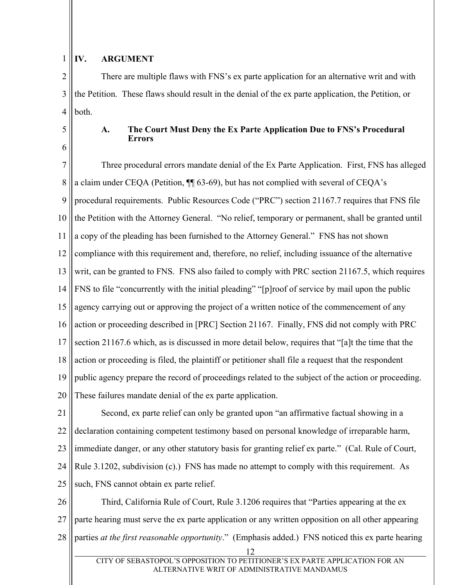# 1

### **IV. ARGUMENT**

2 3 4 There are multiple flaws with FNS's ex parte application for an alternative writ and with the Petition. These flaws should result in the denial of the ex parte application, the Petition, or both.

- 5
- 6

## **A. The Court Must Deny the Ex Parte Application Due to FNS's Procedural Errors**

7 8 9 10 11 12 13 14 15 16 17 18 19 20 Three procedural errors mandate denial of the Ex Parte Application. First, FNS has alleged a claim under CEQA (Petition, ¶¶ 63-69), but has not complied with several of CEQA's procedural requirements. Public Resources Code ("PRC") section 21167.7 requires that FNS file the Petition with the Attorney General. "No relief, temporary or permanent, shall be granted until a copy of the pleading has been furnished to the Attorney General." FNS has not shown compliance with this requirement and, therefore, no relief, including issuance of the alternative writ, can be granted to FNS. FNS also failed to comply with PRC section 21167.5, which requires FNS to file "concurrently with the initial pleading" "[p]roof of service by mail upon the public agency carrying out or approving the project of a written notice of the commencement of any action or proceeding described in [PRC] Section 21167. Finally, FNS did not comply with PRC section 21167.6 which, as is discussed in more detail below, requires that "[a]t the time that the action or proceeding is filed, the plaintiff or petitioner shall file a request that the respondent public agency prepare the record of proceedings related to the subject of the action or proceeding. These failures mandate denial of the ex parte application.

21 22 23 24 25 Second, ex parte relief can only be granted upon "an affirmative factual showing in a declaration containing competent testimony based on personal knowledge of irreparable harm, immediate danger, or any other statutory basis for granting relief ex parte." (Cal. Rule of Court, Rule 3.1202, subdivision (c).) FNS has made no attempt to comply with this requirement. As such, FNS cannot obtain ex parte relief.

26 27 28 Third, California Rule of Court, Rule 3.1206 requires that "Parties appearing at the ex parte hearing must serve the ex parte application or any written opposition on all other appearing parties *at the first reasonable opportunity*." (Emphasis added.) FNS noticed this ex parte hearing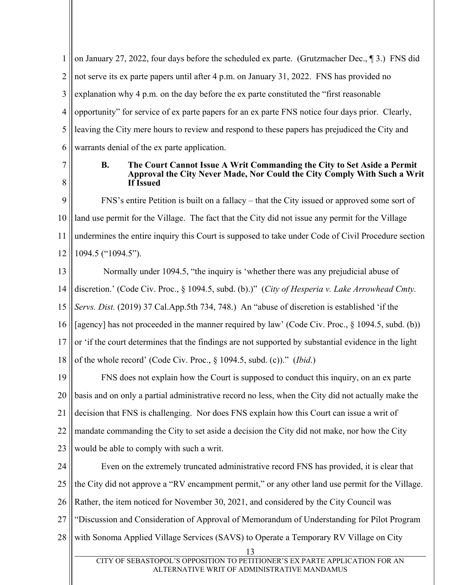1 2 3 4 5 6 on January 27, 2022, four days before the scheduled ex parte. (Grutzmacher Dec., ¶ 3.) FNS did not serve its ex parte papers until after 4 p.m. on January 31, 2022. FNS has provided no explanation why 4 p.m. on the day before the ex parte constituted the "first reasonable opportunity" for service of ex parte papers for an ex parte FNS notice four days prior. Clearly, leaving the City mere hours to review and respond to these papers has prejudiced the City and warrants denial of the ex parte application.

7 8

#### **B. The Court Cannot Issue A Writ Commanding the City to Set Aside a Permit Approval the City Never Made, Nor Could the City Comply With Such a Writ If Issued**

9 10 11 12 FNS's entire Petition is built on a fallacy – that the City issued or approved some sort of land use permit for the Village. The fact that the City did not issue any permit for the Village undermines the entire inquiry this Court is supposed to take under Code of Civil Procedure section 1094.5 ("1094.5").

13 14 15 16 17 18 Normally under 1094.5, "the inquiry is 'whether there was any prejudicial abuse of discretion.' (Code Civ. Proc., § 1094.5, subd. (b).)" (*City of Hesperia v. Lake Arrowhead Cmty. Servs. Dist.* (2019) 37 Cal.App.5th 734, 748.) An "abuse of discretion is established 'if the [agency] has not proceeded in the manner required by law' (Code Civ. Proc., § 1094.5, subd. (b)) or 'if the court determines that the findings are not supported by substantial evidence in the light of the whole record' (Code Civ. Proc., § 1094.5, subd. (c))." (*Ibid*.)

19 20 21 22 23 FNS does not explain how the Court is supposed to conduct this inquiry, on an ex parte basis and on only a partial administrative record no less, when the City did not actually make the decision that FNS is challenging. Nor does FNS explain how this Court can issue a writ of mandate commanding the City to set aside a decision the City did not make, nor how the City would be able to comply with such a writ.

24 25 26 27 28 13 Even on the extremely truncated administrative record FNS has provided, it is clear that the City did not approve a "RV encampment permit," or any other land use permit for the Village. Rather, the item noticed for November 30, 2021, and considered by the City Council was "Discussion and Consideration of Approval of Memorandum of Understanding for Pilot Program with Sonoma Applied Village Services (SAVS) to Operate a Temporary RV Village on City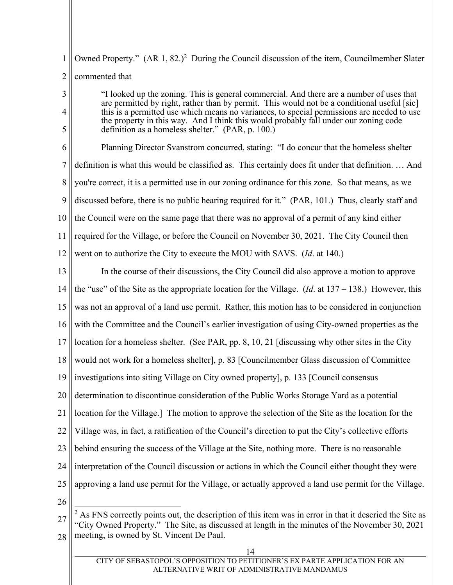1 2 Owned Property."  $(AR\ 1, 82.)^2$  During the Council discussion of the item, Councilmember Slater commented that

3

4

5

"I looked up the zoning. This is general commercial. And there are a number of uses that are permitted by right, rather than by permit. This would not be a conditional useful [sic] this is a permitted use which means no variances, to special permissions are needed to use the property in this way. And I think this would probably fall under our zoning code definition as a homeless shelter." (PAR, p. 100.)

6 7 8 9 10 11 12 Planning Director Svanstrom concurred, stating: "I do concur that the homeless shelter definition is what this would be classified as. This certainly does fit under that definition. … And you're correct, it is a permitted use in our zoning ordinance for this zone. So that means, as we discussed before, there is no public hearing required for it." (PAR, 101.) Thus, clearly staff and the Council were on the same page that there was no approval of a permit of any kind either required for the Village, or before the Council on November 30, 2021. The City Council then went on to authorize the City to execute the MOU with SAVS. (*Id*. at 140.)

13 14 15 16 17 18 19 20 21 22 23 24 25 26 In the course of their discussions, the City Council did also approve a motion to approve the "use" of the Site as the appropriate location for the Village. (*Id*. at 137 – 138.) However, this was not an approval of a land use permit. Rather, this motion has to be considered in conjunction with the Committee and the Council's earlier investigation of using City-owned properties as the location for a homeless shelter. (See PAR, pp. 8, 10, 21 [discussing why other sites in the City would not work for a homeless shelter], p. 83 [Councilmember Glass discussion of Committee investigations into siting Village on City owned property], p. 133 [Council consensus determination to discontinue consideration of the Public Works Storage Yard as a potential location for the Village.] The motion to approve the selection of the Site as the location for the Village was, in fact, a ratification of the Council's direction to put the City's collective efforts behind ensuring the success of the Village at the Site, nothing more. There is no reasonable interpretation of the Council discussion or actions in which the Council either thought they were approving a land use permit for the Village, or actually approved a land use permit for the Village.  $\overline{\phantom{a}}$ 

<sup>27</sup> 28  $2$  As FNS correctly points out, the description of this item was in error in that it descried the Site as "City Owned Property." The Site, as discussed at length in the minutes of the November 30, 2021 meeting, is owned by St. Vincent De Paul.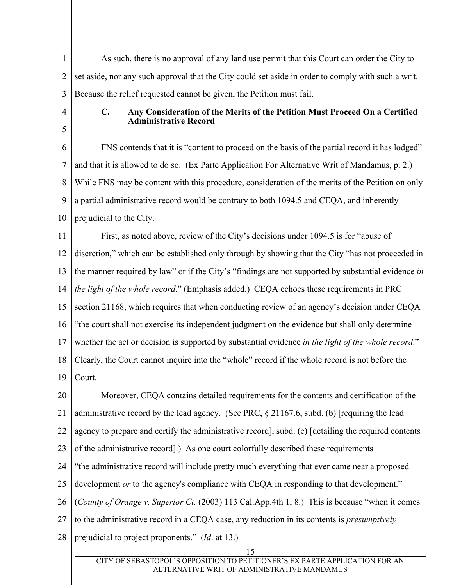1 2 3 As such, there is no approval of any land use permit that this Court can order the City to set aside, nor any such approval that the City could set aside in order to comply with such a writ. Because the relief requested cannot be given, the Petition must fail.

4

5

#### **C. Any Consideration of the Merits of the Petition Must Proceed On a Certified Administrative Record**

6 7 8 9 10 FNS contends that it is "content to proceed on the basis of the partial record it has lodged" and that it is allowed to do so. (Ex Parte Application For Alternative Writ of Mandamus, p. 2.) While FNS may be content with this procedure, consideration of the merits of the Petition on only a partial administrative record would be contrary to both 1094.5 and CEQA, and inherently prejudicial to the City.

11 12 13 14 15 16 17 18 19 First, as noted above, review of the City's decisions under 1094.5 is for "abuse of discretion," which can be established only through by showing that the City "has not proceeded in the manner required by law" or if the City's "findings are not supported by substantial evidence *in the light of the whole record*." (Emphasis added.) CEQA echoes these requirements in PRC section 21168, which requires that when conducting review of an agency's decision under CEQA "the court shall not exercise its independent judgment on the evidence but shall only determine whether the act or decision is supported by substantial evidence *in the light of the whole record*." Clearly, the Court cannot inquire into the "whole" record if the whole record is not before the Court.

20 21 22 23 24 25 26 27 28 Moreover, CEQA contains detailed requirements for the contents and certification of the administrative record by the lead agency. (See PRC, § 21167.6, subd. (b) [requiring the lead agency to prepare and certify the administrative record], subd. (e) [detailing the required contents of the administrative record].) As one court colorfully described these requirements "the administrative record will include pretty much everything that ever came near a proposed development *or* to the agency's compliance with CEQA in responding to that development." (*County of Orange v. Superior Ct.* (2003) 113 Cal.App.4th 1, 8.) This is because "when it comes to the administrative record in a CEQA case, any reduction in its contents is *presumptively* prejudicial to project proponents." (*Id*. at 13.)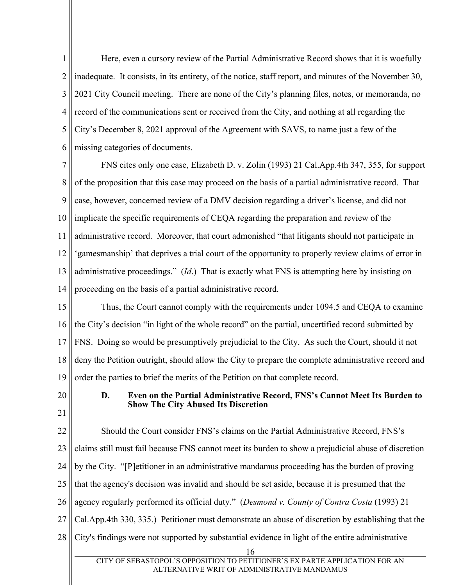1 2 3 4 5 6 Here, even a cursory review of the Partial Administrative Record shows that it is woefully inadequate. It consists, in its entirety, of the notice, staff report, and minutes of the November 30, 2021 City Council meeting. There are none of the City's planning files, notes, or memoranda, no record of the communications sent or received from the City, and nothing at all regarding the City's December 8, 2021 approval of the Agreement with SAVS, to name just a few of the missing categories of documents.

7 8 9 10 11 12 13 14 FNS cites only one case, Elizabeth D. v. Zolin (1993) 21 Cal.App.4th 347, 355, for support of the proposition that this case may proceed on the basis of a partial administrative record. That case, however, concerned review of a DMV decision regarding a driver's license, and did not implicate the specific requirements of CEQA regarding the preparation and review of the administrative record. Moreover, that court admonished "that litigants should not participate in 'gamesmanship' that deprives a trial court of the opportunity to properly review claims of error in administrative proceedings." (*Id*.) That is exactly what FNS is attempting here by insisting on proceeding on the basis of a partial administrative record.

15 16 17 18 19 Thus, the Court cannot comply with the requirements under 1094.5 and CEQA to examine the City's decision "in light of the whole record" on the partial, uncertified record submitted by FNS. Doing so would be presumptively prejudicial to the City. As such the Court, should it not deny the Petition outright, should allow the City to prepare the complete administrative record and order the parties to brief the merits of the Petition on that complete record.

20

21

#### **D. Even on the Partial Administrative Record, FNS's Cannot Meet Its Burden to Show The City Abused Its Discretion**

22 23 24 25 26 27 28 16 CITY OF SEBASTOPOL'S OPPOSITION TO PETITIONER'S EX PARTE APPLICATION FOR AN Should the Court consider FNS's claims on the Partial Administrative Record, FNS's claims still must fail because FNS cannot meet its burden to show a prejudicial abuse of discretion by the City. "[P]etitioner in an administrative mandamus proceeding has the burden of proving that the agency's decision was invalid and should be set aside, because it is presumed that the agency regularly performed its official duty." (*Desmond v. County of Contra Costa* (1993) 21 Cal.App.4th 330, 335.) Petitioner must demonstrate an abuse of discretion by establishing that the City's findings were not supported by substantial evidence in light of the entire administrative

ALTERNATIVE WRIT OF ADMINISTRATIVE MANDAMUS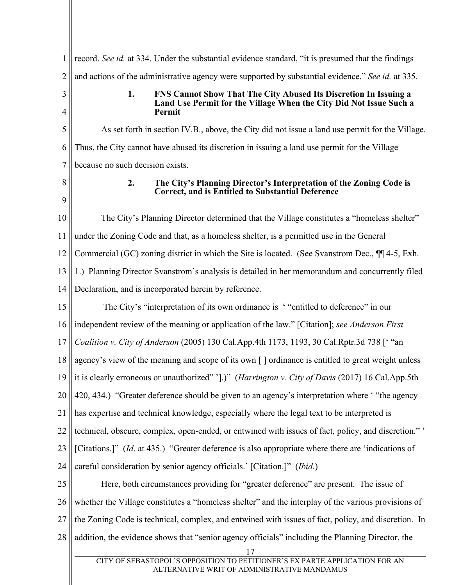1 2 3 4 5 6 7 8 9 10 11 12 13 14 15 16 17 18 19 20 21 22 23 24 25 26 27 28 17 CITY OF SEBASTOPOL'S OPPOSITION TO PETITIONER'S EX PARTE APPLICATION FOR AN ALTERNATIVE WRIT OF ADMINISTRATIVE MANDAMUS record. *See id.* at 334. Under the substantial evidence standard, "it is presumed that the findings and actions of the administrative agency were supported by substantial evidence." *See id.* at 335. **1. FNS Cannot Show That The City Abused Its Discretion In Issuing a Land Use Permit for the Village When the City Did Not Issue Such a Permit**  As set forth in section IV.B., above, the City did not issue a land use permit for the Village. Thus, the City cannot have abused its discretion in issuing a land use permit for the Village because no such decision exists. **2. The City's Planning Director's Interpretation of the Zoning Code is Correct, and is Entitled to Substantial Deference**  The City's Planning Director determined that the Village constitutes a "homeless shelter" under the Zoning Code and that, as a homeless shelter, is a permitted use in the General Commercial (GC) zoning district in which the Site is located. (See Svanstrom Dec., ¶¶ 4-5, Exh. 1.) Planning Director Svanstrom's analysis is detailed in her memorandum and concurrently filed Declaration, and is incorporated herein by reference. The City's "interpretation of its own ordinance is ' "entitled to deference" in our independent review of the meaning or application of the law." [Citation]; *see Anderson First Coalition v. City of Anderson* (2005) 130 Cal.App.4th 1173, 1193, 30 Cal.Rptr.3d 738 [' "an agency's view of the meaning and scope of its own [ ] ordinance is entitled to great weight unless it is clearly erroneous or unauthorized" '].)" (*Harrington v. City of Davis* (2017) 16 Cal.App.5th 420, 434.) "Greater deference should be given to an agency's interpretation where ' "the agency has expertise and technical knowledge, especially where the legal text to be interpreted is technical, obscure, complex, open-ended, or entwined with issues of fact, policy, and discretion." ' [Citations.]" (*Id*. at 435.) "Greater deference is also appropriate where there are 'indications of careful consideration by senior agency officials.' [Citation.]" (*Ibid*.) Here, both circumstances providing for "greater deference" are present. The issue of whether the Village constitutes a "homeless shelter" and the interplay of the various provisions of the Zoning Code is technical, complex, and entwined with issues of fact, policy, and discretion. In addition, the evidence shows that "senior agency officials" including the Planning Director, the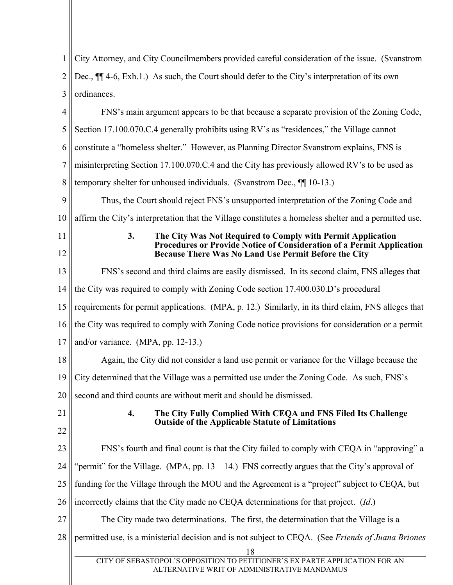| $\mathbf{1}$   | City Attorney, and City Councilmembers provided careful consideration of the issue. (Svanstrom                                                                                                            |  |  |  |  |
|----------------|-----------------------------------------------------------------------------------------------------------------------------------------------------------------------------------------------------------|--|--|--|--|
| $\overline{2}$ | Dec., $\P$ 4-6, Exh.1.) As such, the Court should defer to the City's interpretation of its own                                                                                                           |  |  |  |  |
| 3              | ordinances.                                                                                                                                                                                               |  |  |  |  |
| 4              | FNS's main argument appears to be that because a separate provision of the Zoning Code,                                                                                                                   |  |  |  |  |
| 5              | Section 17.100.070.C.4 generally prohibits using RV's as "residences," the Village cannot                                                                                                                 |  |  |  |  |
| 6              | constitute a "homeless shelter." However, as Planning Director Svanstrom explains, FNS is                                                                                                                 |  |  |  |  |
| 7              | misinterpreting Section 17.100.070.C.4 and the City has previously allowed RV's to be used as                                                                                                             |  |  |  |  |
| 8              | temporary shelter for unhoused individuals. (Svanstrom Dec., ¶[10-13.)                                                                                                                                    |  |  |  |  |
| 9              | Thus, the Court should reject FNS's unsupported interpretation of the Zoning Code and                                                                                                                     |  |  |  |  |
| 10             | affirm the City's interpretation that the Village constitutes a homeless shelter and a permitted use.                                                                                                     |  |  |  |  |
| 11<br>12       | 3.<br>The City Was Not Required to Comply with Permit Application<br><b>Procedures or Provide Notice of Consideration of a Permit Application</b><br>Because There Was No Land Use Permit Before the City |  |  |  |  |
| 13             | FNS's second and third claims are easily dismissed. In its second claim, FNS alleges that                                                                                                                 |  |  |  |  |
| 14             | the City was required to comply with Zoning Code section 17.400.030.D's procedural                                                                                                                        |  |  |  |  |
| 15             | requirements for permit applications. (MPA, p. 12.) Similarly, in its third claim, FNS alleges that                                                                                                       |  |  |  |  |
| 16             | the City was required to comply with Zoning Code notice provisions for consideration or a permit                                                                                                          |  |  |  |  |
| 17             | and/or variance. (MPA, pp. 12-13.)                                                                                                                                                                        |  |  |  |  |
| 18             | Again, the City did not consider a land use permit or variance for the Village because the                                                                                                                |  |  |  |  |
| 19             | City determined that the Village was a permitted use under the Zoning Code. As such, FNS's                                                                                                                |  |  |  |  |
| 20             | second and third counts are without merit and should be dismissed.                                                                                                                                        |  |  |  |  |
| 21             | 4.<br>The City Fully Complied With CEQA and FNS Filed Its Challenge<br><b>Outside of the Applicable Statute of Limitations</b>                                                                            |  |  |  |  |
| 22             |                                                                                                                                                                                                           |  |  |  |  |
| 23             | FNS's fourth and final count is that the City failed to comply with CEQA in "approving" a                                                                                                                 |  |  |  |  |
| 24             | "permit" for the Village. (MPA, pp. $13 - 14$ .) FNS correctly argues that the City's approval of                                                                                                         |  |  |  |  |
| 25             | funding for the Village through the MOU and the Agreement is a "project" subject to CEQA, but                                                                                                             |  |  |  |  |
| 26             | incorrectly claims that the City made no CEQA determinations for that project. (Id.)                                                                                                                      |  |  |  |  |
| 27             | The City made two determinations. The first, the determination that the Village is a                                                                                                                      |  |  |  |  |
| 28             | permitted use, is a ministerial decision and is not subject to CEQA. (See Friends of Juana Briones                                                                                                        |  |  |  |  |
|                | 18<br>CITY OF SEBASTOPOL'S OPPOSITION TO PETITIONER'S EX PARTE APPLICATION FOR AN<br>ALTERNATIVE WRIT OF ADMINISTRATIVE MANDAMUS                                                                          |  |  |  |  |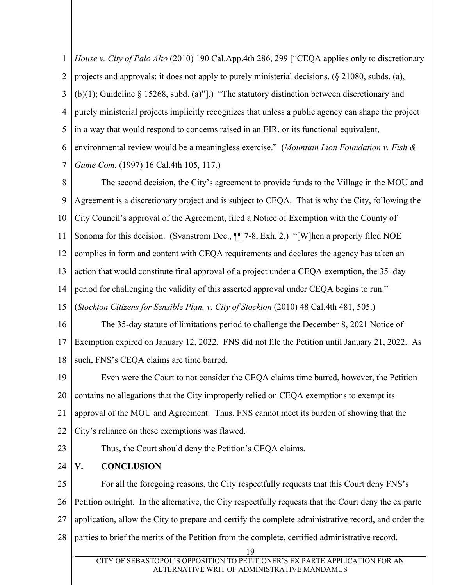1 2 3 4 5 6 7 *House v. City of Palo Alto* (2010) 190 Cal.App.4th 286, 299 ["CEQA applies only to discretionary projects and approvals; it does not apply to purely ministerial decisions. (§ 21080, subds. (a), (b)(1); Guideline § 15268, subd. (a)"].) "The statutory distinction between discretionary and purely ministerial projects implicitly recognizes that unless a public agency can shape the project in a way that would respond to concerns raised in an EIR, or its functional equivalent, environmental review would be a meaningless exercise." (*Mountain Lion Foundation v. Fish & Game Com.* (1997) 16 Cal.4th 105, 117.)

8 9 10 11 12 13 14 15 The second decision, the City's agreement to provide funds to the Village in the MOU and Agreement is a discretionary project and is subject to CEQA. That is why the City, following the City Council's approval of the Agreement, filed a Notice of Exemption with the County of Sonoma for this decision. (Svanstrom Dec., ¶¶ 7-8, Exh. 2.) "[W]hen a properly filed NOE complies in form and content with CEQA requirements and declares the agency has taken an action that would constitute final approval of a project under a CEQA exemption, the 35–day period for challenging the validity of this asserted approval under CEQA begins to run." (*Stockton Citizens for Sensible Plan. v. City of Stockton* (2010) 48 Cal.4th 481, 505.)

16 17 18 The 35-day statute of limitations period to challenge the December 8, 2021 Notice of Exemption expired on January 12, 2022. FNS did not file the Petition until January 21, 2022. As such, FNS's CEQA claims are time barred.

19 20 21 22 Even were the Court to not consider the CEQA claims time barred, however, the Petition contains no allegations that the City improperly relied on CEQA exemptions to exempt its approval of the MOU and Agreement. Thus, FNS cannot meet its burden of showing that the City's reliance on these exemptions was flawed.

23

Thus, the Court should deny the Petition's CEQA claims.

24 **V. CONCLUSION** 

25 26 27 28 For all the foregoing reasons, the City respectfully requests that this Court deny FNS's Petition outright. In the alternative, the City respectfully requests that the Court deny the ex parte application, allow the City to prepare and certify the complete administrative record, and order the parties to brief the merits of the Petition from the complete, certified administrative record.

19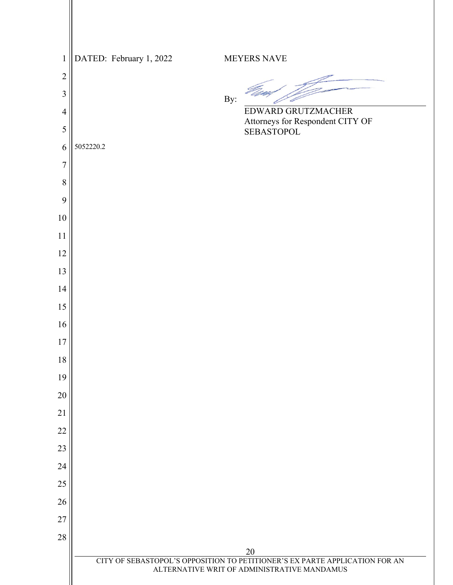| $\mathbf{1}$   |           | DATED: February 1, 2022 |     | <b>MEYERS NAVE</b>                                                                |
|----------------|-----------|-------------------------|-----|-----------------------------------------------------------------------------------|
| $\overline{c}$ |           |                         |     |                                                                                   |
| $\overline{3}$ |           |                         | By: |                                                                                   |
| $\overline{4}$ |           |                         |     | EDWARD GRUTZMACHER                                                                |
| 5              |           |                         |     | Attorneys for Respondent CITY OF<br>SEBASTOPOL                                    |
| 6              | 5052220.2 |                         |     |                                                                                   |
| $\overline{7}$ |           |                         |     |                                                                                   |
| $\,8\,$        |           |                         |     |                                                                                   |
| 9              |           |                         |     |                                                                                   |
| 10             |           |                         |     |                                                                                   |
| 11             |           |                         |     |                                                                                   |
| 12             |           |                         |     |                                                                                   |
| 13             |           |                         |     |                                                                                   |
| 14             |           |                         |     |                                                                                   |
| 15             |           |                         |     |                                                                                   |
| 16<br>17       |           |                         |     |                                                                                   |
| 18             |           |                         |     |                                                                                   |
| 19             |           |                         |     |                                                                                   |
| 20             |           |                         |     |                                                                                   |
| 21             |           |                         |     |                                                                                   |
| 22             |           |                         |     |                                                                                   |
| 23             |           |                         |     |                                                                                   |
| 24             |           |                         |     |                                                                                   |
| 25             |           |                         |     |                                                                                   |
| 26             |           |                         |     |                                                                                   |
| 27             |           |                         |     |                                                                                   |
| $28\,$         |           |                         |     |                                                                                   |
|                |           |                         |     | 20<br>CITY OF SEBASTOPOL'S OPPOSITION TO PETITIONER'S EX PARTE APPLICATION FOR AN |
|                |           |                         |     | ALTERNATIVE WRIT OF ADMINISTRATIVE MANDAMUS                                       |